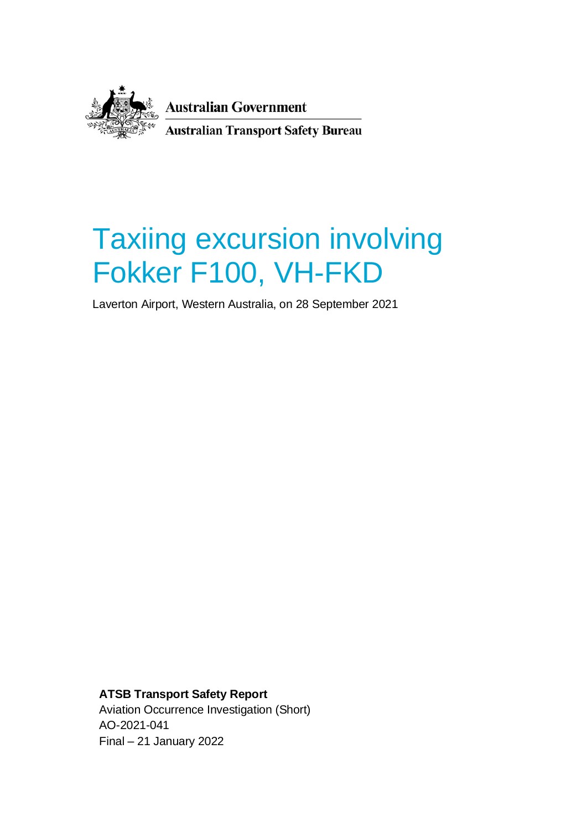

**Australian Government Australian Transport Safety Bureau** 

# Taxiing excursion involving Fokker F100, VH-FKD

Laverton Airport, Western Australia, on 28 September 2021

**ATSB Transport Safety Report** Aviation Occurrence Investigation (Short) AO-2021-041 Final – 21 January 2022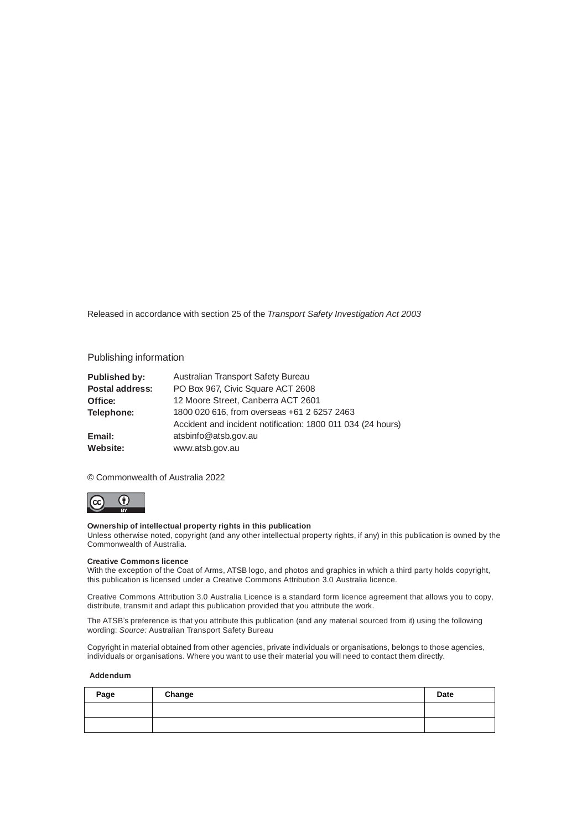Released in accordance with section 25 of the *Transport Safety Investigation Act 2003*

#### Publishing information

| <b>Published by:</b> | Australian Transport Safety Bureau                          |  |
|----------------------|-------------------------------------------------------------|--|
| Postal address:      | PO Box 967, Civic Square ACT 2608                           |  |
| Office:              | 12 Moore Street, Canberra ACT 2601                          |  |
| Telephone:           | 1800 020 616, from overseas +61 2 6257 2463                 |  |
|                      | Accident and incident notification: 1800 011 034 (24 hours) |  |
| Email:               | atsbinfo@atsb.gov.au                                        |  |
| Website:             | www.atsb.gov.au                                             |  |

© Commonwealth of Australia 2022



#### **Ownership of intellectual property rights in this publication**

Unless otherwise noted, copyright (and any other intellectual property rights, if any) in this publication is owned by the Commonwealth of Australia.

#### **Creative Commons licence**

With the exception of the Coat of Arms, ATSB logo, and photos and graphics in which a third party holds copyright, this publication is licensed under a Creative Commons Attribution 3.0 Australia licence.

Creative Commons Attribution 3.0 Australia Licence is a standard form licence agreement that allows you to copy, distribute, transmit and adapt this publication provided that you attribute the work.

The ATSB's preference is that you attribute this publication (and any material sourced from it) using the following wording: *Source:* Australian Transport Safety Bureau

Copyright in material obtained from other agencies, private individuals or organisations, belongs to those agencies, individuals or organisations. Where you want to use their material you will need to contact them directly.

#### **Addendum**

| Page | Change | Date |
|------|--------|------|
|      |        |      |
|      |        |      |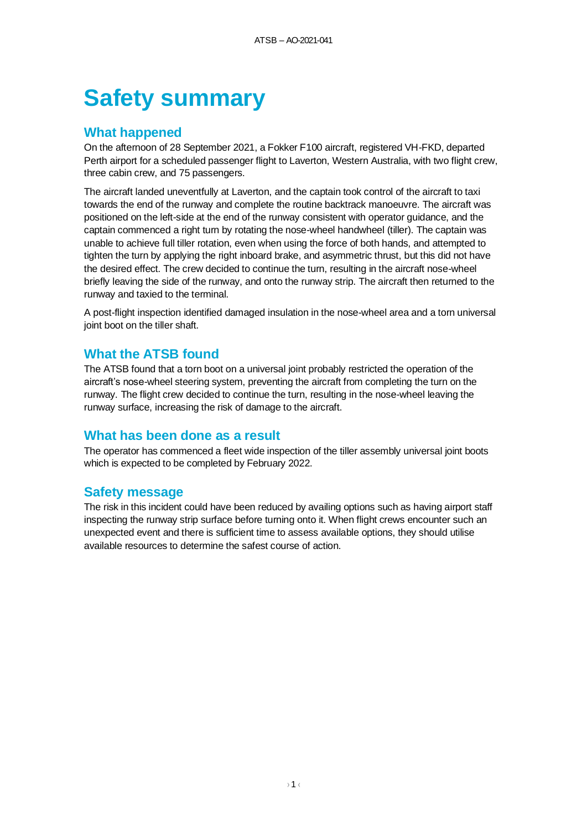# **Safety summary**

# **What happened**

On the afternoon of 28 September 2021, a Fokker F100 aircraft, registered VH-FKD, departed Perth airport for a scheduled passenger flight to Laverton, Western Australia, with two flight crew, three cabin crew, and 75 passengers.

The aircraft landed uneventfully at Laverton, and the captain took control of the aircraft to taxi towards the end of the runway and complete the routine backtrack manoeuvre. The aircraft was positioned on the left-side at the end of the runway consistent with operator guidance, and the captain commenced a right turn by rotating the nose-wheel handwheel (tiller). The captain was unable to achieve full tiller rotation, even when using the force of both hands, and attempted to tighten the turn by applying the right inboard brake, and asymmetric thrust, but this did not have the desired effect. The crew decided to continue the turn, resulting in the aircraft nose-wheel briefly leaving the side of the runway, and onto the runway strip. The aircraft then returned to the runway and taxied to the terminal.

A post-flight inspection identified damaged insulation in the nose-wheel area and a torn universal joint boot on the tiller shaft.

# **What the ATSB found**

The ATSB found that a torn boot on a universal joint probably restricted the operation of the aircraft's nose-wheel steering system, preventing the aircraft from completing the turn on the runway. The flight crew decided to continue the turn, resulting in the nose-wheel leaving the runway surface, increasing the risk of damage to the aircraft.

# **What has been done as a result**

The operator has commenced a fleet wide inspection of the tiller assembly universal joint boots which is expected to be completed by February 2022.

# **Safety message**

The risk in this incident could have been reduced by availing options such as having airport staff inspecting the runway strip surface before turning onto it. When flight crews encounter such an unexpected event and there is sufficient time to assess available options, they should utilise available resources to determine the safest course of action.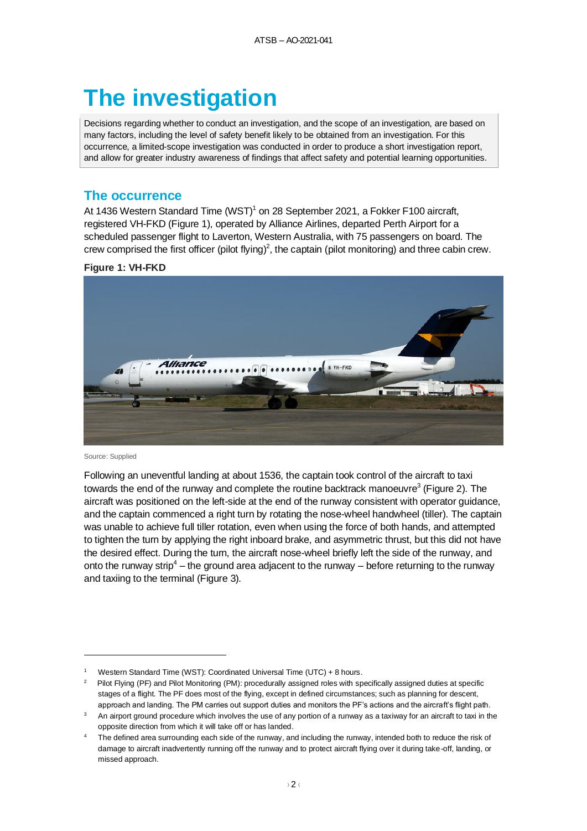# **The investigation**

Decisions regarding whether to conduct an investigation, and the scope of an investigation, are based on many factors, including the level of safety benefit likely to be obtained from an investigation. For this occurrence, a limited-scope investigation was conducted in order to produce a short investigation report, and allow for greater industry awareness of findings that affect safety and potential learning opportunities.

#### **The occurrence**

At 1436 Western Standard Time  $(WST)^1$  on 28 September 2021, a Fokker F100 aircraft, registered VH-FKD [\(Figure 1\)](#page-3-0), operated by Alliance Airlines, departed Perth Airport for a scheduled passenger flight to Laverton, Western Australia, with 75 passengers on board. The crew comprised the first officer (pilot flying)<sup>2</sup>, the captain (pilot monitoring) and three cabin crew.

#### <span id="page-3-0"></span>**Figure 1: VH-FKD**



Source: Supplied

Following an uneventful landing at about 1536, the captain took control of the aircraft to taxi towards the end of the runway and complete the routine backtrack manoeuvre<sup>3</sup> [\(Figure 2\)](#page-4-0). The aircraft was positioned on the left-side at the end of the runway consistent with operator guidance, and the captain commenced a right turn by rotating the nose-wheel handwheel (tiller). The captain was unable to achieve full tiller rotation, even when using the force of both hands, and attempted to tighten the turn by applying the right inboard brake, and asymmetric thrust, but this did not have the desired effect. During the turn, the aircraft nose-wheel briefly left the side of the runway, and onto the runway strip<sup>4</sup> – the ground area adjacent to the runway – before returning to the runway and taxiing to the terminal [\(Figure 3\)](#page-4-1).

<sup>1</sup> Western Standard Time (WST): Coordinated Universal Time (UTC) + 8 hours.

<sup>2</sup> Pilot Flying (PF) and Pilot Monitoring (PM): procedurally assigned roles with specifically assigned duties at specific stages of a flight. The PF does most of the flying, except in defined circumstances; such as planning for descent, approach and landing. The PM carries out support duties and monitors the PF's actions and the aircraft's flight path.

An airport ground procedure which involves the use of any portion of a runway as a taxiway for an aircraft to taxi in the opposite direction from which it will take off or has landed.

The defined area surrounding each side of the runway, and including the runway, intended both to reduce the risk of damage to aircraft inadvertently running off the runway and to protect aircraft flying over it during take-off, landing, or missed approach.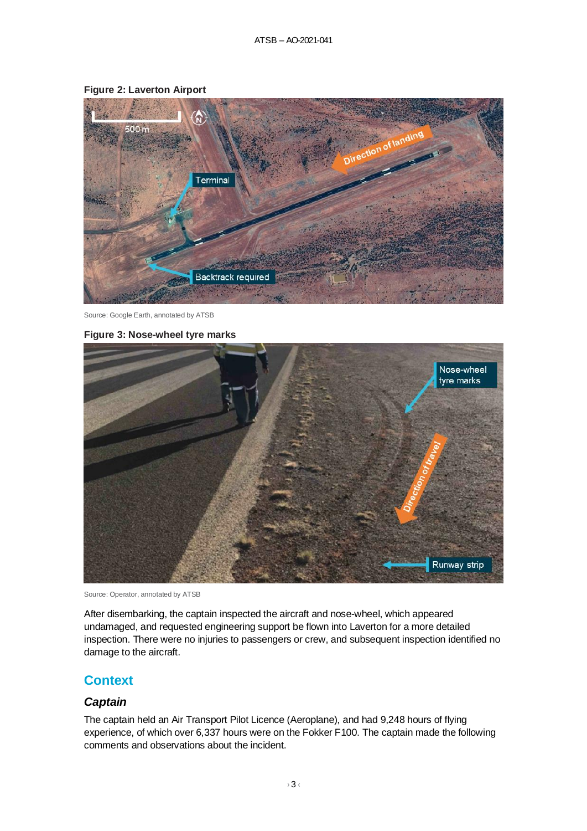

#### <span id="page-4-0"></span>**Figure 2: Laverton Airport**

Source: Google Earth, annotated by ATSB

#### <span id="page-4-1"></span>**Figure 3: Nose-wheel tyre marks**



Source: Operator, annotated by ATSB

After disembarking, the captain inspected the aircraft and nose-wheel, which appeared undamaged, and requested engineering support be flown into Laverton for a more detailed inspection. There were no injuries to passengers or crew, and subsequent inspection identified no damage to the aircraft.

# **Context**

#### *Captain*

The captain held an Air Transport Pilot Licence (Aeroplane), and had 9,248 hours of flying experience, of which over 6,337 hours were on the Fokker F100. The captain made the following comments and observations about the incident.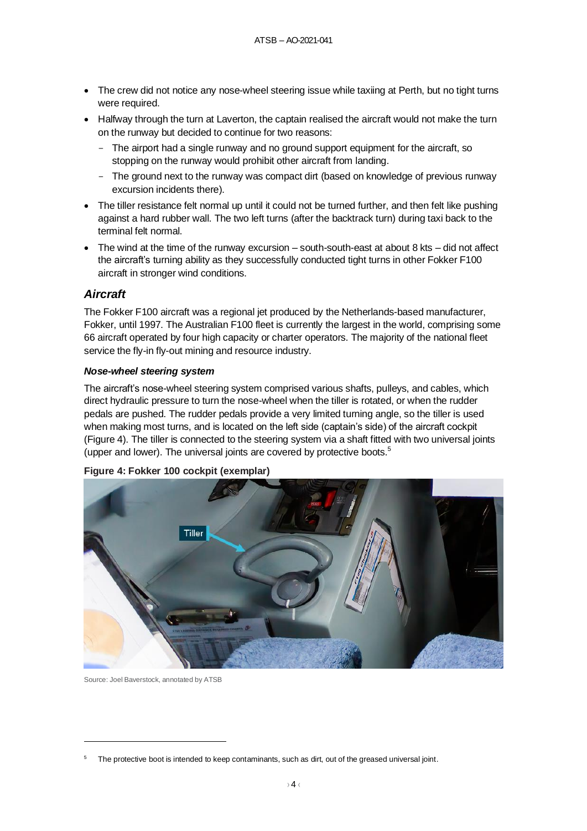- The crew did not notice any nose-wheel steering issue while taxiing at Perth, but no tight turns were required.
- Halfway through the turn at Laverton, the captain realised the aircraft would not make the turn on the runway but decided to continue for two reasons:
	- The airport had a single runway and no ground support equipment for the aircraft, so stopping on the runway would prohibit other aircraft from landing.
	- The ground next to the runway was compact dirt (based on knowledge of previous runway excursion incidents there).
- The tiller resistance felt normal up until it could not be turned further, and then felt like pushing against a hard rubber wall. The two left turns (after the backtrack turn) during taxi back to the terminal felt normal.
- The wind at the time of the runway excursion south-south-east at about 8 kts did not affect the aircraft's turning ability as they successfully conducted tight turns in other Fokker F100 aircraft in stronger wind conditions.

## *Aircraft*

The Fokker F100 aircraft was a regional jet produced by the Netherlands-based manufacturer, Fokker, until 1997. The Australian F100 fleet is currently the largest in the world, comprising some 66 aircraft operated by four high capacity or charter operators. The majority of the national fleet service the fly-in fly-out mining and resource industry.

#### *Nose-wheel steering system*

The aircraft's nose-wheel steering system comprised various shafts, pulleys, and cables, which direct hydraulic pressure to turn the nose-wheel when the tiller is rotated, or when the rudder pedals are pushed. The rudder pedals provide a very limited turning angle, so the tiller is used when making most turns, and is located on the left side (captain's side) of the aircraft cockpit [\(Figure 4\)](#page-5-0). The tiller is connected to the steering system via a shaft fitted with two universal joints (upper and lower). The universal joints are covered by protective boots.<sup>5</sup>

# Tiller

#### <span id="page-5-0"></span>**Figure 4: Fokker 100 cockpit (exemplar)**

Source: Joel Baverstock, annotated by ATSB

The protective boot is intended to keep contaminants, such as dirt, out of the greased universal joint.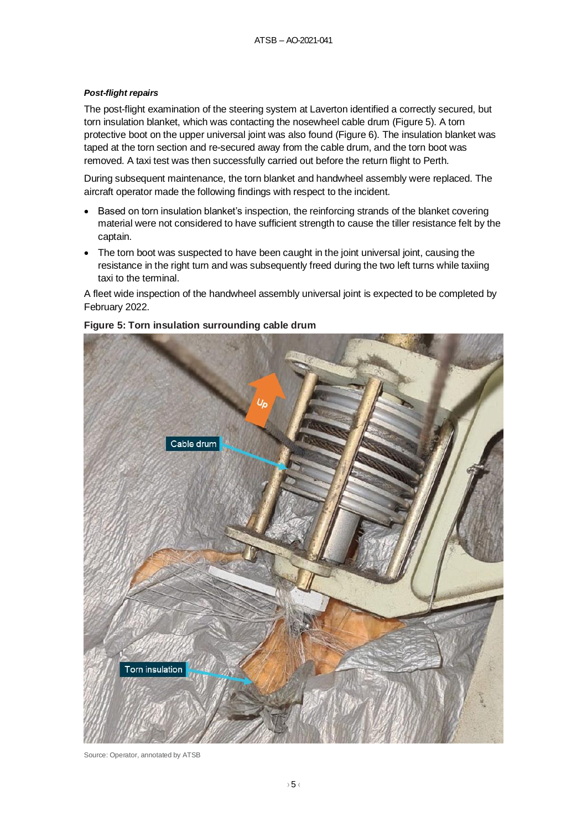#### *Post-flight repairs*

The post-flight examination of the steering system at Laverton identified a correctly secured, but torn insulation blanket, which was contacting the nosewheel cable drum [\(Figure 5\)](#page-6-0). A torn protective boot on the upper universal joint was also found [\(Figure 6\)](#page-7-0). The insulation blanket was taped at the torn section and re-secured away from the cable drum, and the torn boot was removed. A taxi test was then successfully carried out before the return flight to Perth.

During subsequent maintenance, the torn blanket and handwheel assembly were replaced. The aircraft operator made the following findings with respect to the incident.

- Based on torn insulation blanket's inspection, the reinforcing strands of the blanket covering material were not considered to have sufficient strength to cause the tiller resistance felt by the captain.
- The torn boot was suspected to have been caught in the joint universal joint, causing the resistance in the right turn and was subsequently freed during the two left turns while taxiing taxi to the terminal.

A fleet wide inspection of the handwheel assembly universal joint is expected to be completed by February 2022.



#### <span id="page-6-0"></span>**Figure 5: Torn insulation surrounding cable drum**

Source: Operator, annotated by ATSB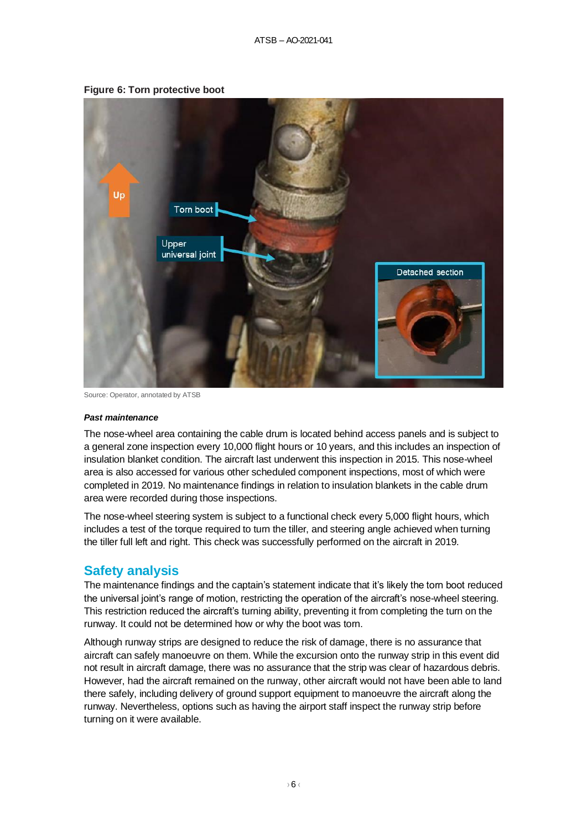

<span id="page-7-0"></span>**Figure 6: Torn protective boot**

Source: Operator, annotated by ATSB

#### *Past maintenance*

The nose-wheel area containing the cable drum is located behind access panels and is subject to a general zone inspection every 10,000 flight hours or 10 years, and this includes an inspection of insulation blanket condition. The aircraft last underwent this inspection in 2015. This nose-wheel area is also accessed for various other scheduled component inspections, most of which were completed in 2019. No maintenance findings in relation to insulation blankets in the cable drum area were recorded during those inspections.

The nose-wheel steering system is subject to a functional check every 5,000 flight hours, which includes a test of the torque required to turn the tiller, and steering angle achieved when turning the tiller full left and right. This check was successfully performed on the aircraft in 2019.

# **Safety analysis**

The maintenance findings and the captain's statement indicate that it's likely the torn boot reduced the universal joint's range of motion, restricting the operation of the aircraft's nose-wheel steering. This restriction reduced the aircraft's turning ability, preventing it from completing the turn on the runway. It could not be determined how or why the boot was torn.

Although runway strips are designed to reduce the risk of damage, there is no assurance that aircraft can safely manoeuvre on them. While the excursion onto the runway strip in this event did not result in aircraft damage, there was no assurance that the strip was clear of hazardous debris. However, had the aircraft remained on the runway, other aircraft would not have been able to land there safely, including delivery of ground support equipment to manoeuvre the aircraft along the runway. Nevertheless, options such as having the airport staff inspect the runway strip before turning on it were available.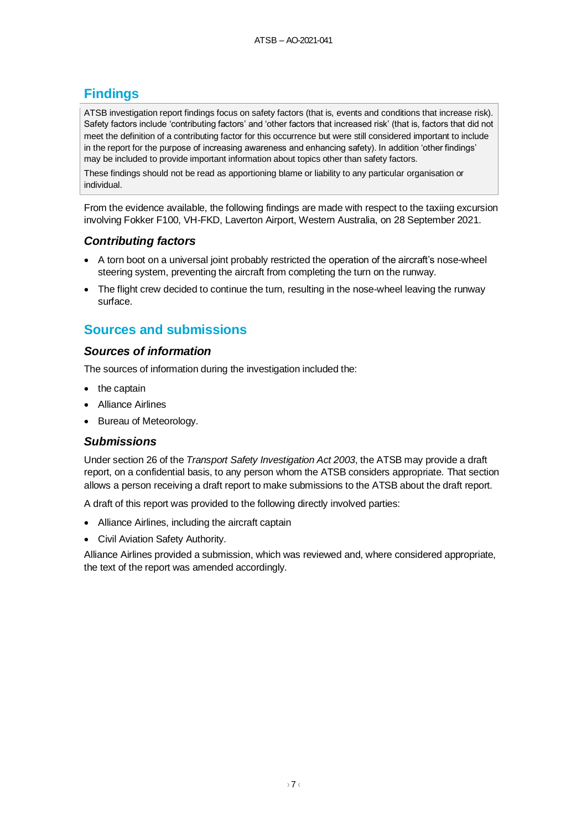# **Findings**

ATSB investigation report findings focus on safety factors (that is, events and conditions that increase risk). Safety factors include 'contributing factors' and 'other factors that increased risk' (that is, factors that did not meet the definition of a contributing factor for this occurrence but were still considered important to include in the report for the purpose of increasing awareness and enhancing safety). In addition 'other findings' may be included to provide important information about topics other than safety factors.

These findings should not be read as apportioning blame or liability to any particular organisation or individual.

From the evidence available, the following findings are made with respect to the taxiing excursion involving Fokker F100, VH-FKD, Laverton Airport, Western Australia, on 28 September 2021.

## *Contributing factors*

- A torn boot on a universal joint probably restricted the operation of the aircraft's nose-wheel steering system, preventing the aircraft from completing the turn on the runway.
- The flight crew decided to continue the turn, resulting in the nose-wheel leaving the runway surface.

# **Sources and submissions**

## *Sources of information*

The sources of information during the investigation included the:

- the captain
- Alliance Airlines
- Bureau of Meteorology.

## *Submissions*

Under section 26 of the *Transport Safety Investigation Act 2003*, the ATSB may provide a draft report, on a confidential basis, to any person whom the ATSB considers appropriate. That section allows a person receiving a draft report to make submissions to the ATSB about the draft report.

A draft of this report was provided to the following directly involved parties:

- Alliance Airlines, including the aircraft captain
- Civil Aviation Safety Authority.

Alliance Airlines provided a submission, which was reviewed and, where considered appropriate, the text of the report was amended accordingly.